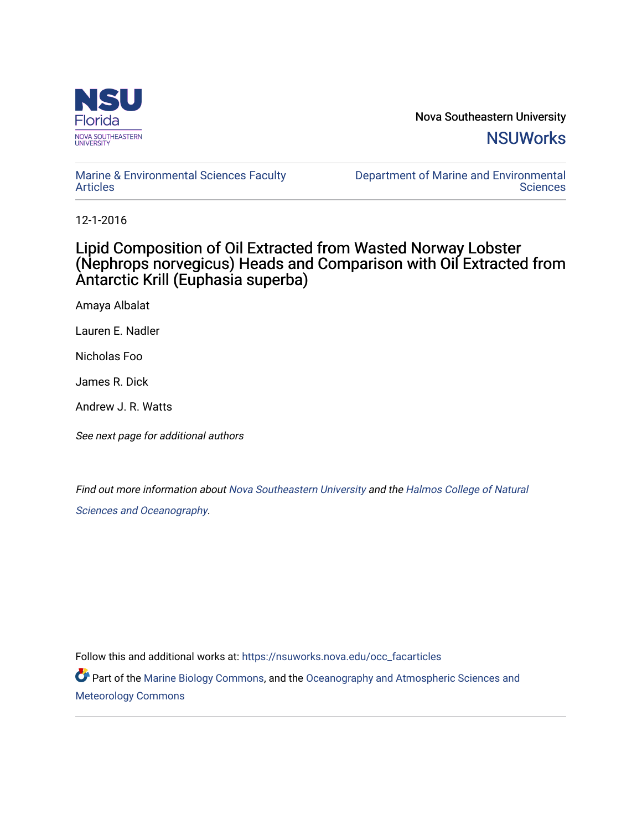

Nova Southeastern University **NSUWorks** 

## [Marine & Environmental Sciences Faculty](https://nsuworks.nova.edu/occ_facarticles)  [Articles](https://nsuworks.nova.edu/occ_facarticles)

[Department of Marine and Environmental](https://nsuworks.nova.edu/cnso_mes)  **Sciences** 

12-1-2016

## Lipid Composition of Oil Extracted from Wasted Norway Lobster (Nephrops norvegicus) Heads and Comparison with Oil Extracted from Antarctic Krill (Euphasia superba)

Amaya Albalat

Lauren E. Nadler

Nicholas Foo

James R. Dick

Andrew J. R. Watts

See next page for additional authors

Find out more information about [Nova Southeastern University](http://www.nova.edu/) and the [Halmos College of Natural](https://cnso.nova.edu/)  [Sciences and Oceanography](https://cnso.nova.edu/).

Follow this and additional works at: [https://nsuworks.nova.edu/occ\\_facarticles](https://nsuworks.nova.edu/occ_facarticles?utm_source=nsuworks.nova.edu%2Focc_facarticles%2F1107&utm_medium=PDF&utm_campaign=PDFCoverPages)

Part of the [Marine Biology Commons,](http://network.bepress.com/hgg/discipline/1126?utm_source=nsuworks.nova.edu%2Focc_facarticles%2F1107&utm_medium=PDF&utm_campaign=PDFCoverPages) and the [Oceanography and Atmospheric Sciences and](http://network.bepress.com/hgg/discipline/186?utm_source=nsuworks.nova.edu%2Focc_facarticles%2F1107&utm_medium=PDF&utm_campaign=PDFCoverPages) [Meteorology Commons](http://network.bepress.com/hgg/discipline/186?utm_source=nsuworks.nova.edu%2Focc_facarticles%2F1107&utm_medium=PDF&utm_campaign=PDFCoverPages)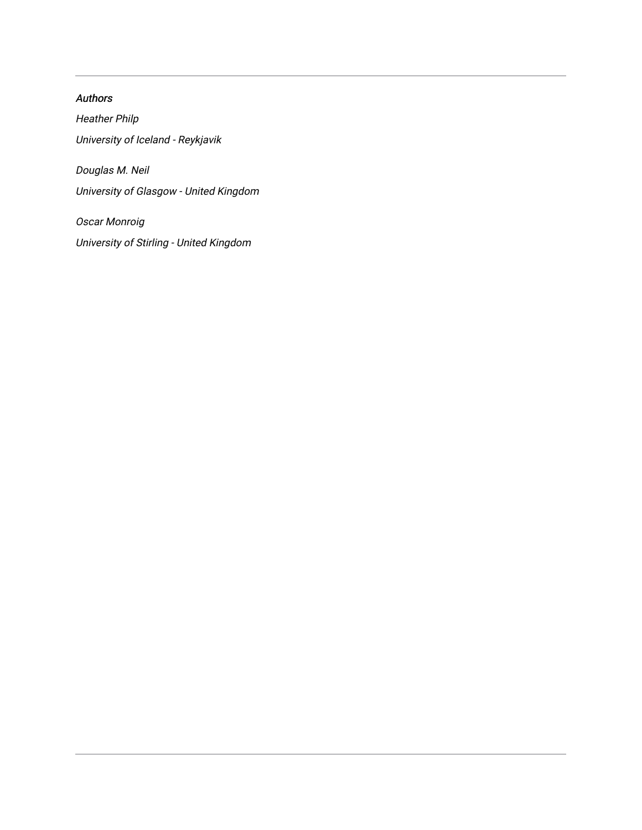# Authors Heather Philp University of Iceland - Reykjavik Douglas M. Neil University of Glasgow - United Kingdom

Oscar Monroig University of Stirling - United Kingdom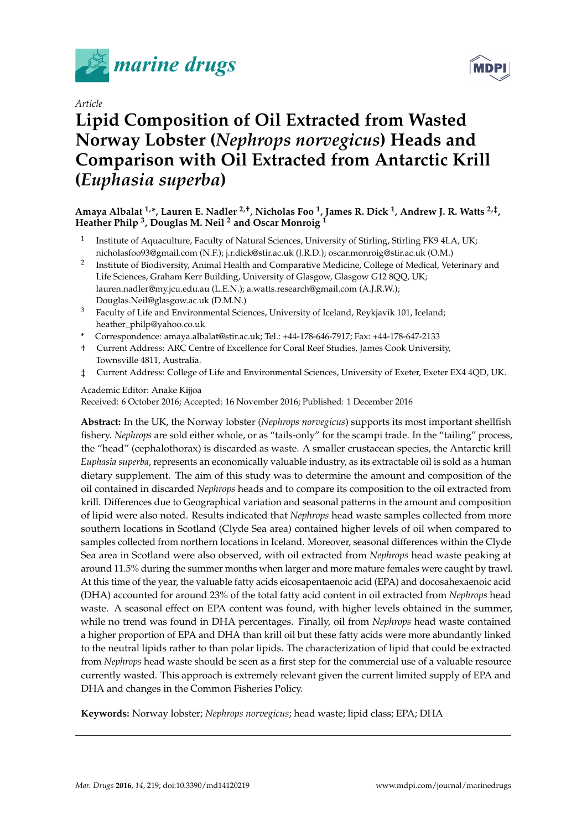

*Article*

# **Lipid Composition of Oil Extracted from Wasted Norway Lobster (***Nephrops norvegicus***) Heads and Comparison with Oil Extracted from Antarctic Krill (***Euphasia superba***)**

**Amaya Albalat 1,\*, Lauren E. Nadler 2,†, Nicholas Foo <sup>1</sup> , James R. Dick <sup>1</sup> , Andrew J. R. Watts 2,‡ , Heather Philp <sup>3</sup> , Douglas M. Neil <sup>2</sup> and Oscar Monroig <sup>1</sup>**

- 1 Institute of Aquaculture, Faculty of Natural Sciences, University of Stirling, Stirling FK9 4LA, UK; nicholasfoo93@gmail.com (N.F.); j.r.dick@stir.ac.uk (J.R.D.); oscar.monroig@stir.ac.uk (O.M.)
- 2 Institute of Biodiversity, Animal Health and Comparative Medicine, College of Medical, Veterinary and Life Sciences, Graham Kerr Building, University of Glasgow, Glasgow G12 8QQ, UK; lauren.nadler@my.jcu.edu.au (L.E.N.); a.watts.research@gmail.com (A.J.R.W.); Douglas.Neil@glasgow.ac.uk (D.M.N.)
- <sup>3</sup> Faculty of Life and Environmental Sciences, University of Iceland, Reykjavik 101, Iceland; heather\_philp@yahoo.co.uk
- **\*** Correspondence: amaya.albalat@stir.ac.uk; Tel.: +44-178-646-7917; Fax: +44-178-647-2133
- † Current Address: ARC Centre of Excellence for Coral Reef Studies, James Cook University, Townsville 4811, Australia.
- ‡ Current Address: College of Life and Environmental Sciences, University of Exeter, Exeter EX4 4QD, UK.

## Academic Editor: Anake Kijjoa

Received: 6 October 2016; Accepted: 16 November 2016; Published: 1 December 2016

**Abstract:** In the UK, the Norway lobster (*Nephrops norvegicus*) supports its most important shellfish fishery. *Nephrops* are sold either whole, or as "tails-only" for the scampi trade. In the "tailing" process, the "head" (cephalothorax) is discarded as waste. A smaller crustacean species, the Antarctic krill *Euphasia superba*, represents an economically valuable industry, as its extractable oil is sold as a human dietary supplement. The aim of this study was to determine the amount and composition of the oil contained in discarded *Nephrops* heads and to compare its composition to the oil extracted from krill. Differences due to Geographical variation and seasonal patterns in the amount and composition of lipid were also noted. Results indicated that *Nephrops* head waste samples collected from more southern locations in Scotland (Clyde Sea area) contained higher levels of oil when compared to samples collected from northern locations in Iceland. Moreover, seasonal differences within the Clyde Sea area in Scotland were also observed, with oil extracted from *Nephrops* head waste peaking at around 11.5% during the summer months when larger and more mature females were caught by trawl. At this time of the year, the valuable fatty acids eicosapentaenoic acid (EPA) and docosahexaenoic acid (DHA) accounted for around 23% of the total fatty acid content in oil extracted from *Nephrops* head waste. A seasonal effect on EPA content was found, with higher levels obtained in the summer, while no trend was found in DHA percentages. Finally, oil from *Nephrops* head waste contained a higher proportion of EPA and DHA than krill oil but these fatty acids were more abundantly linked to the neutral lipids rather to than polar lipids. The characterization of lipid that could be extracted from *Nephrops* head waste should be seen as a first step for the commercial use of a valuable resource currently wasted. This approach is extremely relevant given the current limited supply of EPA and DHA and changes in the Common Fisheries Policy.

**Keywords:** Norway lobster; *Nephrops norvegicus*; head waste; lipid class; EPA; DHA

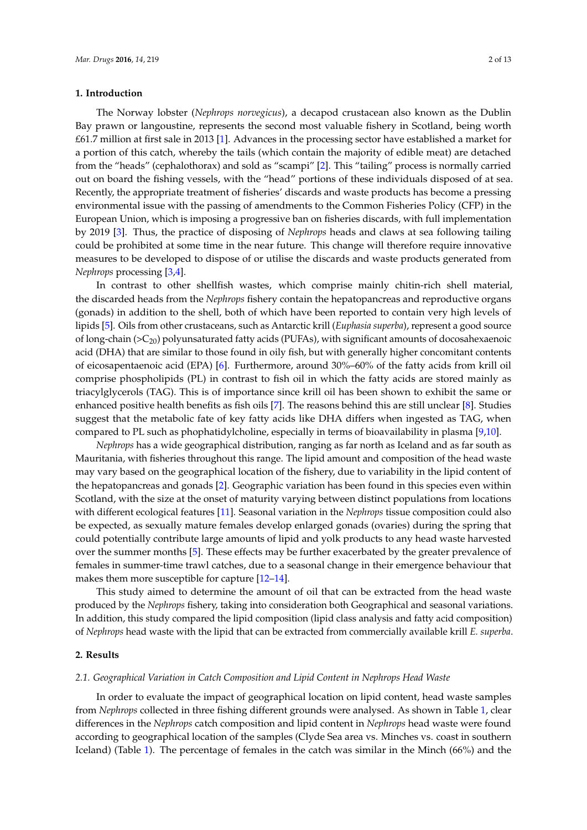## **1. Introduction**

The Norway lobster (*Nephrops norvegicus*), a decapod crustacean also known as the Dublin Bay prawn or langoustine, represents the second most valuable fishery in Scotland, being worth £61.7 million at first sale in 2013 [\[1\]](#page-12-0). Advances in the processing sector have established a market for a portion of this catch, whereby the tails (which contain the majority of edible meat) are detached from the "heads" (cephalothorax) and sold as "scampi" [\[2\]](#page-12-1). This "tailing" process is normally carried out on board the fishing vessels, with the "head" portions of these individuals disposed of at sea. Recently, the appropriate treatment of fisheries' discards and waste products has become a pressing environmental issue with the passing of amendments to the Common Fisheries Policy (CFP) in the European Union, which is imposing a progressive ban on fisheries discards, with full implementation by 2019 [\[3\]](#page-12-2). Thus, the practice of disposing of *Nephrops* heads and claws at sea following tailing could be prohibited at some time in the near future. This change will therefore require innovative measures to be developed to dispose of or utilise the discards and waste products generated from *Nephrops* processing [\[3](#page-12-2)[,4\]](#page-12-3).

In contrast to other shellfish wastes, which comprise mainly chitin-rich shell material, the discarded heads from the *Nephrops* fishery contain the hepatopancreas and reproductive organs (gonads) in addition to the shell, both of which have been reported to contain very high levels of lipids [\[5\]](#page-12-4). Oils from other crustaceans, such as Antarctic krill (*Euphasia superba*), represent a good source of long-chain ( ${}_{\geq}$ ( ${}_{\geq}$ ) polyunsaturated fatty acids (PUFAs), with significant amounts of docosahexaenoic acid (DHA) that are similar to those found in oily fish, but with generally higher concomitant contents of eicosapentaenoic acid (EPA) [\[6\]](#page-12-5). Furthermore, around 30%–60% of the fatty acids from krill oil comprise phospholipids (PL) in contrast to fish oil in which the fatty acids are stored mainly as triacylglycerols (TAG). This is of importance since krill oil has been shown to exhibit the same or enhanced positive health benefits as fish oils [\[7\]](#page-13-0). The reasons behind this are still unclear [\[8\]](#page-13-1). Studies suggest that the metabolic fate of key fatty acids like DHA differs when ingested as TAG, when compared to PL such as phophatidylcholine, especially in terms of bioavailability in plasma [\[9,](#page-13-2)[10\]](#page-13-3).

*Nephrops* has a wide geographical distribution, ranging as far north as Iceland and as far south as Mauritania, with fisheries throughout this range. The lipid amount and composition of the head waste may vary based on the geographical location of the fishery, due to variability in the lipid content of the hepatopancreas and gonads [\[2\]](#page-12-1). Geographic variation has been found in this species even within Scotland, with the size at the onset of maturity varying between distinct populations from locations with different ecological features [\[11\]](#page-13-4). Seasonal variation in the *Nephrops* tissue composition could also be expected, as sexually mature females develop enlarged gonads (ovaries) during the spring that could potentially contribute large amounts of lipid and yolk products to any head waste harvested over the summer months [\[5\]](#page-12-4). These effects may be further exacerbated by the greater prevalence of females in summer-time trawl catches, due to a seasonal change in their emergence behaviour that makes them more susceptible for capture [\[12](#page-13-5)[–14\]](#page-13-6).

This study aimed to determine the amount of oil that can be extracted from the head waste produced by the *Nephrops* fishery, taking into consideration both Geographical and seasonal variations. In addition, this study compared the lipid composition (lipid class analysis and fatty acid composition) of *Nephrops* head waste with the lipid that can be extracted from commercially available krill *E. superba*.

#### **2. Results**

## *2.1. Geographical Variation in Catch Composition and Lipid Content in Nephrops Head Waste*

In order to evaluate the impact of geographical location on lipid content, head waste samples from *Nephrops* collected in three fishing different grounds were analysed. As shown in Table [1,](#page-4-0) clear differences in the *Nephrops* catch composition and lipid content in *Nephrops* head waste were found according to geographical location of the samples (Clyde Sea area vs. Minches vs. coast in southern Iceland) (Table [1\)](#page-4-0). The percentage of females in the catch was similar in the Minch (66%) and the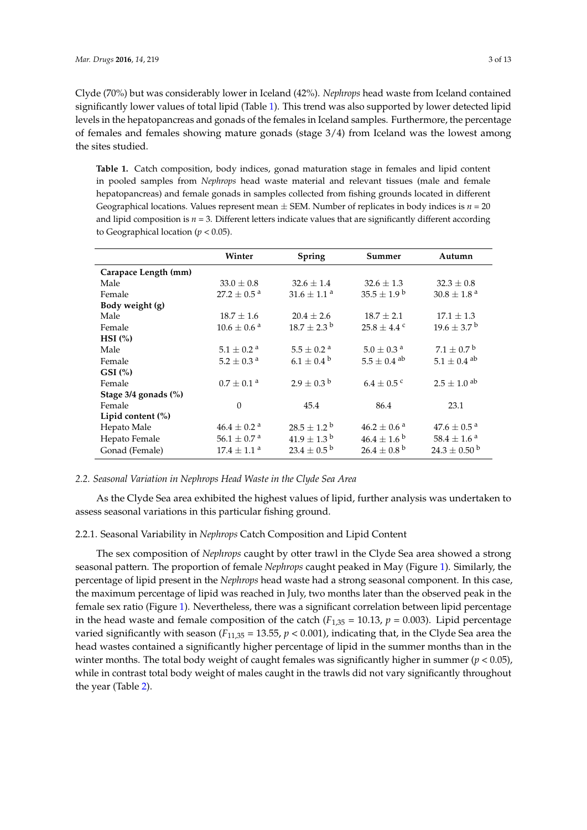Clyde (70%) but was considerably lower in Iceland (42%). *Nephrops* head waste from Iceland contained significantly lower values of total lipid (Table [1\)](#page-4-0). This trend was also supported by lower detected lipid levels in the hepatopancreas and gonads of the females in Iceland samples. Furthermore, the percentage of females and females showing mature gonads (stage 3/4) from Iceland was the lowest among the sites studied.

<span id="page-4-0"></span>**Table 1.** Catch composition, body indices, gonad maturation stage in females and lipid content in pooled samples from *Nephrops* head waste material and relevant tissues (male and female hepatopancreas) and female gonads in samples collected from fishing grounds located in different Geographical locations. Values represent mean  $\pm$  SEM. Number of replicates in body indices is  $n = 20$ and lipid composition is  $n = 3$ . Different letters indicate values that are significantly different according to Geographical location (*p* < 0.05).

|                      | Winter                      | <b>Spring</b>               | Summer                      | Autumn                      |
|----------------------|-----------------------------|-----------------------------|-----------------------------|-----------------------------|
| Carapace Length (mm) |                             |                             |                             |                             |
| Male                 | $33.0 \pm 0.8$              | $32.6 \pm 1.4$              | $32.6 \pm 1.3$              | $32.3 \pm 0.8$              |
| Female               | 27.2 $\pm$ 0.5 <sup>a</sup> | $31.6 \pm 1.1$ <sup>a</sup> | $35.5 \pm 1.9^{\mathrm{b}}$ | $30.8 \pm 1.8$ <sup>a</sup> |
| Body weight (g)      |                             |                             |                             |                             |
| Male                 | $18.7 \pm 1.6$              | $20.4 \pm 2.6$              | $18.7 \pm 2.1$              | $17.1 \pm 1.3$              |
| Female               | $10.6\pm0.6$ $^{\rm a}$     | $18.7 \pm 2.3^{\mathrm{b}}$ | $25.8 \pm 4.4$ c            | $19.6 \pm 3.7^{\mathrm{b}}$ |
| $HSI$ (%)            |                             |                             |                             |                             |
| Male                 | $5.1 \pm 0.2$ <sup>a</sup>  | $5.5 \pm 0.2$ <sup>a</sup>  | $5.0 \pm 0.3$ <sup>a</sup>  | $7.1 \pm 0.7$ <sup>b</sup>  |
| Female               | $5.2 \pm 0.3$ <sup>a</sup>  | $6.1 \pm 0.4^{\circ}$       | $5.5 \pm 0.4$ <sup>ab</sup> | $5.1 \pm 0.4$ <sup>ab</sup> |
| $GSI$ (%)            |                             |                             |                             |                             |
| Female               | $0.7\pm0.1$ $^{\rm a}$      | $2.9 \pm 0.3^{\mathrm{b}}$  | $6.4 \pm 0.5$ c             | $2.5 \pm 1.0$ <sup>ab</sup> |
| Stage 3/4 gonads (%) |                             |                             |                             |                             |
| Female               | $\theta$                    | 45.4                        | 86.4                        | 23.1                        |
| Lipid content (%)    |                             |                             |                             |                             |
| Hepato Male          | $46.4 \pm 0.2$ <sup>a</sup> | $28.5 \pm 1.2^{\circ}$      | $46.2 \pm 0.6$ <sup>a</sup> | $47.6 \pm 0.5^{\text{ a}}$  |
| Hepato Female        | $56.1 \pm 0.7$ <sup>a</sup> | $41.9 \pm 1.3^{\mathrm{b}}$ | $46.4 \pm 1.6^{\circ}$      | $58.4 \pm 1.6^{\text{ a}}$  |
| Gonad (Female)       | $17.4 \pm 1.1$ <sup>a</sup> | $23.4 \pm 0.5^{\mathrm{b}}$ | $26.4 \pm 0.8^{\text{ b}}$  | $24.3 \pm 0.50^{\circ}$     |

## *2.2. Seasonal Variation in Nephrops Head Waste in the Clyde Sea Area*

As the Clyde Sea area exhibited the highest values of lipid, further analysis was undertaken to assess seasonal variations in this particular fishing ground.

#### 2.2.1. Seasonal Variability in *Nephrops* Catch Composition and Lipid Content

The sex composition of *Nephrops* caught by otter trawl in the Clyde Sea area showed a strong seasonal pattern. The proportion of female *Nephrops* caught peaked in May (Figure [1\)](#page-5-0). Similarly, the percentage of lipid present in the *Nephrops* head waste had a strong seasonal component. In this case, the maximum percentage of lipid was reached in July, two months later than the observed peak in the female sex ratio (Figure [1\)](#page-5-0). Nevertheless, there was a significant correlation between lipid percentage in the head waste and female composition of the catch  $(F_{1,35} = 10.13, p = 0.003)$ . Lipid percentage varied significantly with season  $(F_{11,35} = 13.55, p < 0.001)$ , indicating that, in the Clyde Sea area the head wastes contained a significantly higher percentage of lipid in the summer months than in the winter months. The total body weight of caught females was significantly higher in summer (*p* < 0.05), while in contrast total body weight of males caught in the trawls did not vary significantly throughout the year (Table [2\)](#page-5-1).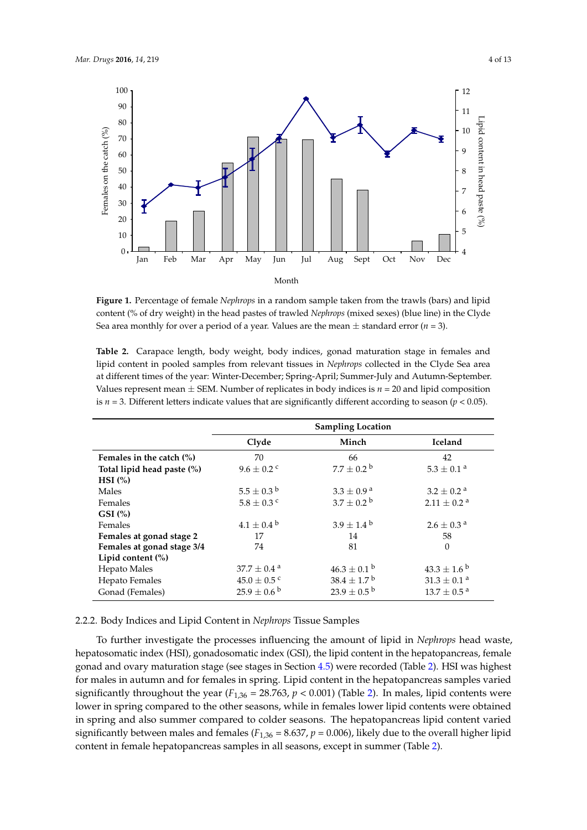<span id="page-5-0"></span>

**Figure 1.** Percentage of female *Nephrops* in a random sample taken from the trawls (bars) and lipid content (% of dry weight) in the head pastes of trawled *Nephrops* (mixed sexes) (blue line) in the Clyde content (% of dry weight) in the head pastes of trawled *Nephrops* (mixed sexes) (blue line) in the Clyde Sea area monthly for over a period of a year. Values are the mean ± standard error (*n* = 3). Sea area monthly for over a period of a year. Values are the mean ± standard error (*n* = 3).

<span id="page-5-1"></span>**Table 2.** Carapace length, body weight, body indices, gonad maturation stage in females and lipid **Table 2.** Carapace length, body weight, body indices, gonad maturation stage in females and lipid content in pooled samples from relevant tissues in *Nephrops* collected in the Clyde Sea area at different times of the year: Winter-December; Spring-April; Summer-July and Autumn-September.<br>' Values represent mean  $\pm$  SEM. Number of replicates in body indices is  $n = 20$  and lipid composition is  $n = 3$ . Different letters indicate values that are significantly different according to season ( $p < 0.05$ ).

|                             | <b>Sampling Location</b>    |                             |
|-----------------------------|-----------------------------|-----------------------------|
| Clyde                       | Minch                       | <b>Iceland</b>              |
| 70                          | 66                          | 42                          |
| $9.6 \pm 0.2$ c             | $7.7 \pm 0.2^{\circ}$       | $5.3 \pm 0.1$ <sup>a</sup>  |
|                             |                             |                             |
| $5.5 \pm 0.3^{\mathrm{b}}$  | $3.3 \pm 0.9^{\text{ a}}$   | $3.2 \pm 0.2$ <sup>a</sup>  |
| $5.8 \pm 0.3$ c             | $3.7 \pm 0.2^{\mathrm{b}}$  | $2.11 \pm 0.2$ <sup>a</sup> |
|                             |                             |                             |
| $4.1 \pm 0.4^{\mathrm{b}}$  | $3.9 \pm 1.4^{\circ}$       | $2.6 \pm 0.3$ <sup>a</sup>  |
| 17                          | 14                          | 58                          |
| 74                          | 81                          | $\theta$                    |
|                             |                             |                             |
| $37.7 \pm 0.4$ <sup>a</sup> | $46.3 \pm 0.1^{\circ}$      | $43.3 \pm 1.6^{\circ}$      |
| $45.0 \pm 0.5$ c            | $38.4 \pm 1.7^{\text{ b}}$  | $31.3 \pm 0.1$ <sup>a</sup> |
| $25.9 \pm 0.6^{\mathrm{b}}$ | $23.9 \pm 0.5^{\mathrm{b}}$ | $13.7 \pm 0.5^{\text{a}}$   |
|                             |                             |                             |

## 2.2.2. Body Indices and Lipid Content in *Nephrops* Tissue Samples 2.2.2. Body Indices and Lipid Content in *Nephrops* Tissue Samples

To further investigate the processes influencing the amount of lipid in *Nephrops* head waste, To further investigate the processes influencing the amount of lipid in *Nephrops* head waste, hepatosomatic index (HSI), gonadosomatic index (GSI), the lipid content in the hepatopancreas, hepatosomatic index (HSI), gonadosomatic index (GSI), the lipid content in the hepatopancreas, female gonad and ovary maturation stage (see stages in Section [4.5\)](#page-11-0) were recorded (Table [2\)](#page-5-1). HSI was highest for males in autumn and for females in spring. Lipid content in the hepatopancreas samples varied significantly throughout the year ( $F_{1,36}$  = 28.763,  $p$  < 0.001) (Table [2\)](#page-5-1). In males, lipid contents were lower in spring compared to the other seasons, while in females lower lipid contents were obtained in spring and also summer compared to colder seasons. The hepatopancreas lipid content varied significantly between males and females ( $F_{1,36}$  = 8.637,  $p$  = 0.006), likely due to the overall higher lipid content in female hepatopancreas samples in all seasons, except in summer [\(Ta](#page-5-1)ble 2).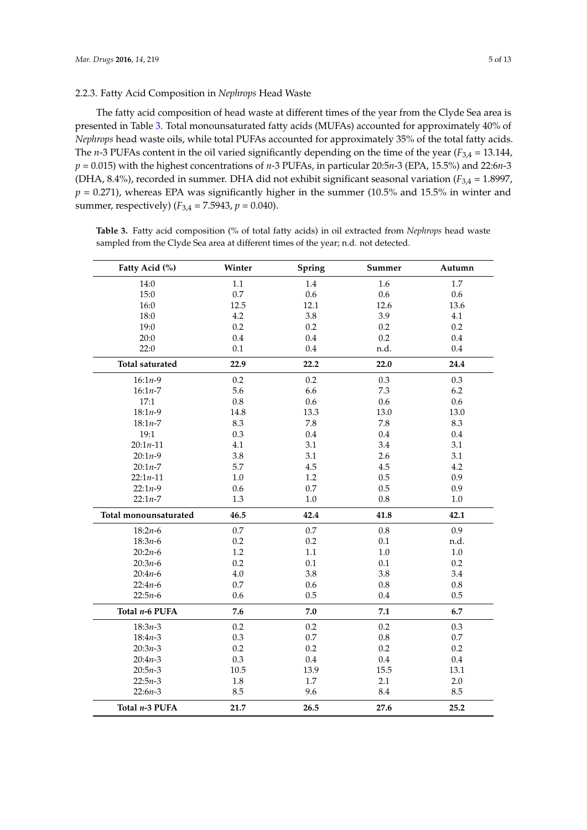## 2.2.3. Fatty Acid Composition in *Nephrops* Head Waste

The fatty acid composition of head waste at different times of the year from the Clyde Sea area is presented in Table [3.](#page-6-0) Total monounsaturated fatty acids (MUFAs) accounted for approximately 40% of *Nephrops* head waste oils, while total PUFAs accounted for approximately 35% of the total fatty acids. The *n*-3 PUFAs content in the oil varied significantly depending on the time of the year (*F*3,4 = 13.144, *p* = 0.015) with the highest concentrations of *n*-3 PUFAs, in particular 20:5*n*-3 (EPA, 15.5%) and 22:6*n*-3 (DHA, 8.4%), recorded in summer. DHA did not exhibit significant seasonal variation ( $F_{3,4} = 1.8997$ ,  $p = 0.271$ ), whereas EPA was significantly higher in the summer (10.5% and 15.5% in winter and summer, respectively) ( $F_{3,4} = 7.5943$ ,  $p = 0.040$ ).

| Fatty Acid (%)         | Winter  | Spring  | Summer    | Autumn  |
|------------------------|---------|---------|-----------|---------|
| 14:0                   | 1.1     | 1.4     | 1.6       | 1.7     |
| 15:0                   | 0.7     | 0.6     | 0.6       | 0.6     |
| 16:0                   | 12.5    | 12.1    | 12.6      | 13.6    |
| 18:0                   | $4.2\,$ | 3.8     | 3.9       | 4.1     |
| 19:0                   | 0.2     | 0.2     | 0.2       | 0.2     |
| 20:0                   | 0.4     | 0.4     | 0.2       | 0.4     |
| 22:0                   | 0.1     | 0.4     | n.d.      | 0.4     |
| <b>Total saturated</b> | 22.9    | 22.2    | 22.0      | 24.4    |
| $16:1n-9$              | 0.2     | 0.2     | 0.3       | 0.3     |
| $16:1n-7$              | 5.6     | 6.6     | 7.3       | 6.2     |
| 17:1                   | 0.8     | 0.6     | 0.6       | 0.6     |
| $18:1n-9$              | 14.8    | 13.3    | 13.0      | 13.0    |
| $18:1n - 7$            | 8.3     | 7.8     | 7.8       | 8.3     |
| 19:1                   | 0.3     | 0.4     | 0.4       | 0.4     |
| $20:1n-11$             | 4.1     | 3.1     | 3.4       | 3.1     |
| $20:1n-9$              | 3.8     | 3.1     | 2.6       | 3.1     |
| $20:1n-7$              | 5.7     | 4.5     | 4.5       | 4.2     |
| $22:1n-11$             | $1.0\,$ | 1.2     | 0.5       | 0.9     |
| $22:1n-9$              | 0.6     | 0.7     | 0.5       | 0.9     |
| $22:1n-7$              | 1.3     | 1.0     | $0.8\,$   | 1.0     |
| Total monounsaturated  | 46.5    | 42.4    | 41.8      | 42.1    |
| $18:2n-6$              | 0.7     | 0.7     | 0.8       | 0.9     |
| $18:3n-6$              | 0.2     | 0.2     | 0.1       | n.d.    |
| $20:2n-6$              | $1.2\,$ | $1.1\,$ | $1.0\,$   | $1.0\,$ |
| $20:3n-6$              | 0.2     | 0.1     | 0.1       | 0.2     |
| $20:4n-6$              | $4.0\,$ | 3.8     | 3.8       | 3.4     |
| $22:4n-6$              | 0.7     | 0.6     | 0.8       | $0.8\,$ |
| $22:5n-6$              | 0.6     | 0.5     | 0.4       | 0.5     |
| Total $n-6$ PUFA       | 7.6     | 7.0     | $\bf 7.1$ | 6.7     |
| $18:3n-3$              | 0.2     | 0.2     | 0.2       | 0.3     |
| $18:4n-3$              | 0.3     | $0.7\,$ | $0.8\,$   | $0.7\,$ |
| $20:3n-3$              | $0.2\,$ | 0.2     | 0.2       | 0.2     |
| $20:4n-3$              | 0.3     | 0.4     | $0.4\,$   | 0.4     |
| $20:5n-3$              | 10.5    | 13.9    | 15.5      | 13.1    |
| $22:5n-3$              | 1.8     | 1.7     | 2.1       | 2.0     |
| $22:6n-3$              | 8.5     | 9.6     | 8.4       | 8.5     |
| Total n-3 PUFA         | 21.7    | 26.5    | 27.6      | 25.2    |

<span id="page-6-0"></span>**Table 3.** Fatty acid composition (% of total fatty acids) in oil extracted from *Nephrops* head waste sampled from the Clyde Sea area at different times of the year; n.d. not detected.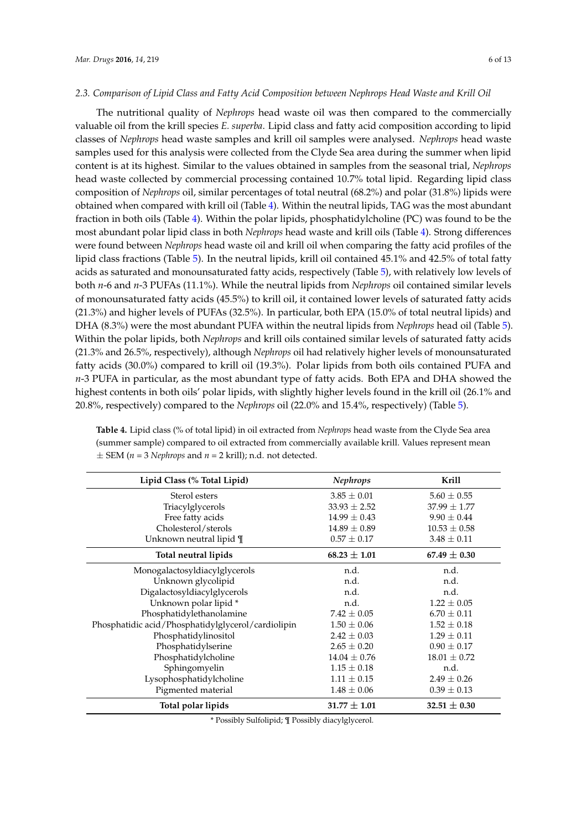#### *2.3. Comparison of Lipid Class and Fatty Acid Composition between Nephrops Head Waste and Krill Oil*

The nutritional quality of *Nephrops* head waste oil was then compared to the commercially valuable oil from the krill species *E. superba*. Lipid class and fatty acid composition according to lipid classes of *Nephrops* head waste samples and krill oil samples were analysed. *Nephrops* head waste samples used for this analysis were collected from the Clyde Sea area during the summer when lipid content is at its highest. Similar to the values obtained in samples from the seasonal trial, *Nephrops* head waste collected by commercial processing contained 10.7% total lipid. Regarding lipid class composition of *Nephrops* oil, similar percentages of total neutral (68.2%) and polar (31.8%) lipids were obtained when compared with krill oil (Table [4\)](#page-7-0). Within the neutral lipids, TAG was the most abundant fraction in both oils (Table [4\)](#page-7-0). Within the polar lipids, phosphatidylcholine (PC) was found to be the most abundant polar lipid class in both *Nephrops* head waste and krill oils (Table [4\)](#page-7-0). Strong differences were found between *Nephrops* head waste oil and krill oil when comparing the fatty acid profiles of the lipid class fractions (Table [5\)](#page-8-0). In the neutral lipids, krill oil contained 45.1% and 42.5% of total fatty acids as saturated and monounsaturated fatty acids, respectively (Table [5\)](#page-8-0), with relatively low levels of both *n*-6 and *n*-3 PUFAs (11.1%). While the neutral lipids from *Nephrops* oil contained similar levels of monounsaturated fatty acids (45.5%) to krill oil, it contained lower levels of saturated fatty acids (21.3%) and higher levels of PUFAs (32.5%). In particular, both EPA (15.0% of total neutral lipids) and DHA (8.3%) were the most abundant PUFA within the neutral lipids from *Nephrops* head oil (Table [5\)](#page-8-0). Within the polar lipids, both *Nephrops* and krill oils contained similar levels of saturated fatty acids (21.3% and 26.5%, respectively), although *Nephrops* oil had relatively higher levels of monounsaturated fatty acids (30.0%) compared to krill oil (19.3%). Polar lipids from both oils contained PUFA and *n*-3 PUFA in particular, as the most abundant type of fatty acids. Both EPA and DHA showed the highest contents in both oils' polar lipids, with slightly higher levels found in the krill oil (26.1% and 20.8%, respectively) compared to the *Nephrops* oil (22.0% and 15.4%, respectively) (Table [5\)](#page-8-0).

| Lipid Class (% Total Lipid)                        | <b>Nephrops</b>  | Krill            |
|----------------------------------------------------|------------------|------------------|
| Sterol esters                                      | $3.85 \pm 0.01$  | $5.60 \pm 0.55$  |
| Triacylglycerols                                   | $33.93 \pm 2.52$ | $37.99 \pm 1.77$ |
| Free fatty acids                                   | $14.99 \pm 0.43$ | $9.90 \pm 0.44$  |
| Cholesterol/sterols                                | $14.89 \pm 0.89$ | $10.53 \pm 0.58$ |
| Unknown neutral lipid ¶                            | $0.57 \pm 0.17$  | $3.48 \pm 0.11$  |
| Total neutral lipids                               | $68.23 \pm 1.01$ | 67.49 $\pm$ 0.30 |
| Monogalactosyldiacylglycerols                      | n.d.             | n.d.             |
| Unknown glycolipid                                 | n.d.             | n.d.             |
| Digalactosyldiacylglycerols                        | n.d.             | n.d.             |
| Unknown polar lipid *                              | n.d.             | $1.22 \pm 0.05$  |
| Phosphatidylethanolamine                           | $7.42 \pm 0.05$  | $6.70 \pm 0.11$  |
| Phosphatidic acid/Phosphatidylglycerol/cardiolipin | $1.50 \pm 0.06$  | $1.52 \pm 0.18$  |
| Phosphatidylinositol                               | $2.42 \pm 0.03$  | $1.29 \pm 0.11$  |
| Phosphatidylserine                                 | $2.65 \pm 0.20$  | $0.90 \pm 0.17$  |
| Phosphatidylcholine                                | $14.04 \pm 0.76$ | $18.01 \pm 0.72$ |
| Sphingomyelin                                      | $1.15 \pm 0.18$  | n.d.             |
| Lysophosphatidylcholine                            | $1.11 \pm 0.15$  | $2.49 \pm 0.26$  |
| Pigmented material                                 | $1.48 \pm 0.06$  | $0.39 \pm 0.13$  |
| Total polar lipids                                 | $31.77 \pm 1.01$ | $32.51 \pm 0.30$ |

<span id="page-7-0"></span>**Table 4.** Lipid class (% of total lipid) in oil extracted from *Nephrops* head waste from the Clyde Sea area (summer sample) compared to oil extracted from commercially available krill. Values represent mean  $\pm$  SEM (*n* = 3 *Nephrops* and *n* = 2 krill); n.d. not detected.

\* Possibly Sulfolipid; ¶ Possibly diacylglycerol.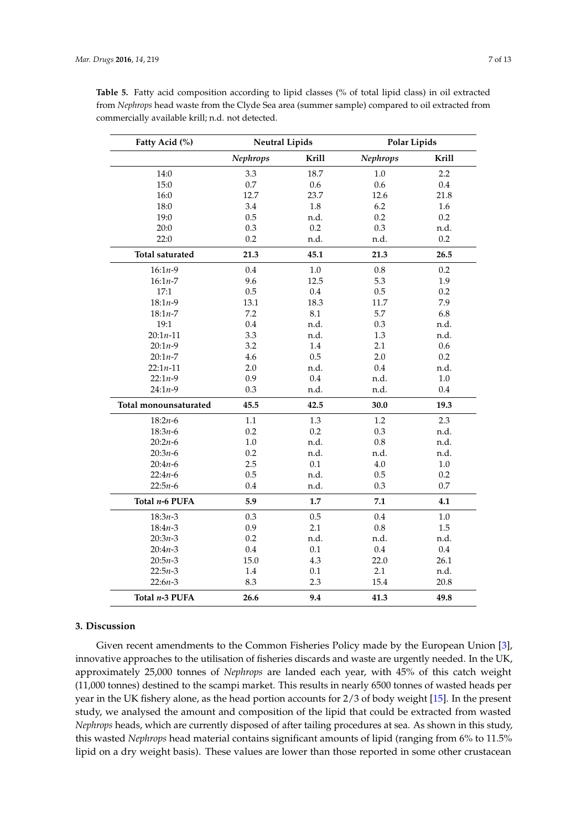**Fatty Acid (%)** 

| Acid $(\% )$ | <b>Neutral Lipids</b> |       | Polar Lipids |       |
|--------------|-----------------------|-------|--------------|-------|
|              | <b>Nephrops</b>       | Krill | Nephrops     | Krill |
| 14:0         | 3.3                   | 18.7  | $1.0\,$      | 2.2   |
| 15:0         | 0.7                   | 0.6   | 0.6          | 0.4   |
| 16:0         | 12.7                  | 23.7  | 12.6         | 21.8  |
| 18:0         | 3.4                   | 1.8   | 6.2          | 1.6   |
| 19:0         | 0.5                   | n.d.  | 0.2          | 0.2   |
| 20:0         | 0.3                   | 0.2   | 0.3          | n.d.  |
| 22:0         | 0.2                   | n.d.  | n.d.         | 0.2   |
| saturated    | 21.3                  | 45.1  | 21.3         | 26.5  |
| $5:1n-9$     | 0.4                   | 1.0   | 0.8          | 0.2   |
| $5:1n-7$     | 9.6                   | 12.5  | 5.3          | 1.9   |
| 17:1         | 0.5                   | 0.4   | 0.5          | 0.2   |
| $3:1n-9$     | 13.1                  | 18.3  | 11.7         | 7.9   |
| $3:1n-7$     | 7.2                   | 8.1   | 5.7          | 6.8   |
| 19:1         | 0.4                   | n.d.  | 0.3          | n.d.  |
| : $1n-11$    | 3.3                   | n.d.  | 1.3          | n.d.  |
|              |                       |       |              |       |

<span id="page-8-0"></span>**Table 5.** Fatty acid composition according to lipid classes (% of total lipid class) in oil extracted from *Nephrops* head waste from the Clyde Sea area (summer sample) compared to oil extracted from commercially available krill; n.d. not det

## 19:0 0.5 n.d. 0.2 0.2 20:0 0.3 0.2 0.3 n.d. 22:0 0.2 n.d. n.d. 0.2 Total saturated 21.3 16:1*n*-9 0.4 1.0 0.8 0.2 16:1*n*-7 9.6 12.5 5.3 1.9 17:1 0.5 0.4 0.5 0.2 18:1*n*-9 13.1 18.3 11.7 7.9 18:1*n*-7 7.2 8.1 5.7 6.8 19:1 0.4 n.d. 0.3 n.d. 20:1*n*-11 3.3 n.d. 1.3 n.d. 20:1*n*-9 3.2 1.4 2.1 0.6 20:1*n*-7 4.6 0.5 2.0 0.2 22:1*n*-11 2.0 n.d. 0.4 n.d. 22:1*n*-9 0.9 0.4 n.d. 1.0 24:1*n*-9 0.3 n.d. n.d. 0.4 **Total monounsaturated 45.5 42.5 30.0 19.3** 18:2*n*-6 1.1 1.3 1.2 2.3 18:3*n*-6 0.2 0.2 0.3 n.d. 20:2*n*-6 1.0 n.d. 0.8 n.d. 20:3*n*-6 0.2 n.d. n.d. n.d. 20:4*n*-6 2.5 0.1 4.0 1.0 22:4*n*-6 0.5 n.d. 0.5 0.2 22:5*n*-6 0.4 n.d. 0.3 0.7 **Total** *n***-6 PUFA** 5.9 1.7 7.1 4.1 18:3*n*-3 0.3 0.5 0.4 1.0 18:4*n*-3 0.9 2.1 0.8 1.5 20:3*n*-3 0.2 n.d. n.d. n.d. 20:4*n*-3 0.4 0.4 0.1 0.4 0.4 20:5*n*-3 15.0 4.3 22.0 26.1 22:5*n*-3 1.4 0.1 2.1 n.d. 22:6*n*-3 8.3 2.3 15.4 20.8 **Total** *n***-3 PUFA 26.6 9.4 41.3 49.8**

## **3. Discussion**

Given recent amendments to the Common Fisheries Policy made by the European Union [\[3\]](#page-12-2), innovative approaches to the utilisation of fisheries discards and waste are urgently needed. In the UK, approximately 25,000 tonnes of *Nephrops* are landed each year, with 45% of this catch weight (11,000 tonnes) destined to the scampi market. This results in nearly 6500 tonnes of wasted heads per year in the UK fishery alone, as the head portion accounts for 2/3 of body weight [\[15\]](#page-13-7). In the present study, we analysed the amount and composition of the lipid that could be extracted from wasted *Nephrops* heads, which are currently disposed of after tailing procedures at sea. As shown in this study, this wasted *Nephrops* head material contains significant amounts of lipid (ranging from 6% to 11.5% lipid on a dry weight basis). These values are lower than those reported in some other crustacean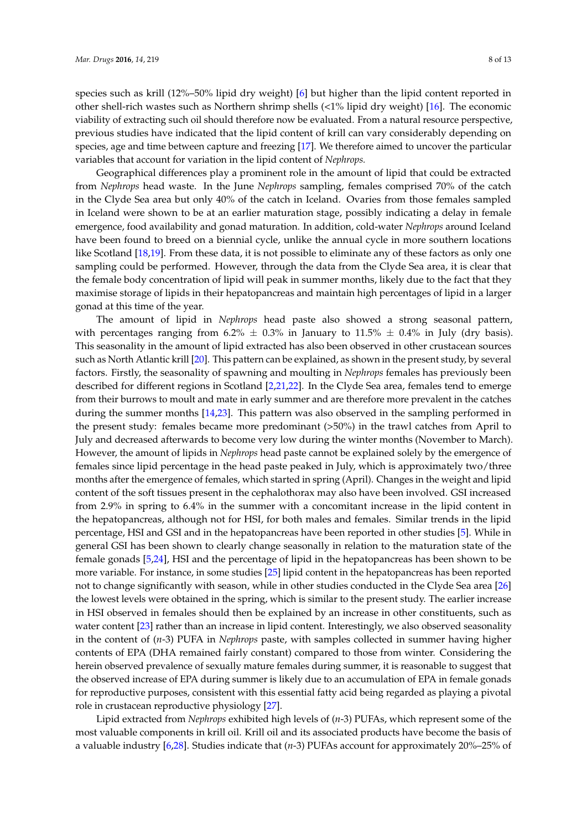species such as krill (12%–50% lipid dry weight) [\[6\]](#page-12-5) but higher than the lipid content reported in other shell-rich wastes such as Northern shrimp shells (<1% lipid dry weight) [\[16\]](#page-13-8). The economic viability of extracting such oil should therefore now be evaluated. From a natural resource perspective, previous studies have indicated that the lipid content of krill can vary considerably depending on species, age and time between capture and freezing [\[17\]](#page-13-9). We therefore aimed to uncover the particular variables that account for variation in the lipid content of *Nephrops.*

Geographical differences play a prominent role in the amount of lipid that could be extracted from *Nephrops* head waste. In the June *Nephrops* sampling, females comprised 70% of the catch in the Clyde Sea area but only 40% of the catch in Iceland. Ovaries from those females sampled in Iceland were shown to be at an earlier maturation stage, possibly indicating a delay in female emergence, food availability and gonad maturation. In addition, cold-water *Nephrops* around Iceland have been found to breed on a biennial cycle, unlike the annual cycle in more southern locations like Scotland [\[18,](#page-13-10)[19\]](#page-13-11). From these data, it is not possible to eliminate any of these factors as only one sampling could be performed. However, through the data from the Clyde Sea area, it is clear that the female body concentration of lipid will peak in summer months, likely due to the fact that they maximise storage of lipids in their hepatopancreas and maintain high percentages of lipid in a larger gonad at this time of the year.

The amount of lipid in *Nephrops* head paste also showed a strong seasonal pattern, with percentages ranging from 6.2%  $\pm$  0.3% in January to 11.5%  $\pm$  0.4% in July (dry basis). This seasonality in the amount of lipid extracted has also been observed in other crustacean sources such as North Atlantic krill [\[20\]](#page-13-12). This pattern can be explained, as shown in the present study, by several factors. Firstly, the seasonality of spawning and moulting in *Nephrops* females has previously been described for different regions in Scotland [\[2,](#page-12-1)[21,](#page-13-13)[22\]](#page-13-14). In the Clyde Sea area, females tend to emerge from their burrows to moult and mate in early summer and are therefore more prevalent in the catches during the summer months [\[14,](#page-13-6)[23\]](#page-13-15). This pattern was also observed in the sampling performed in the present study: females became more predominant (>50%) in the trawl catches from April to July and decreased afterwards to become very low during the winter months (November to March). However, the amount of lipids in *Nephrops* head paste cannot be explained solely by the emergence of females since lipid percentage in the head paste peaked in July, which is approximately two/three months after the emergence of females, which started in spring (April). Changes in the weight and lipid content of the soft tissues present in the cephalothorax may also have been involved. GSI increased from 2.9% in spring to 6.4% in the summer with a concomitant increase in the lipid content in the hepatopancreas, although not for HSI, for both males and females. Similar trends in the lipid percentage, HSI and GSI and in the hepatopancreas have been reported in other studies [\[5\]](#page-12-4). While in general GSI has been shown to clearly change seasonally in relation to the maturation state of the female gonads [\[5](#page-12-4)[,24\]](#page-13-16), HSI and the percentage of lipid in the hepatopancreas has been shown to be more variable. For instance, in some studies [\[25\]](#page-13-17) lipid content in the hepatopancreas has been reported not to change significantly with season, while in other studies conducted in the Clyde Sea area [\[26\]](#page-13-18) the lowest levels were obtained in the spring, which is similar to the present study. The earlier increase in HSI observed in females should then be explained by an increase in other constituents, such as water content [\[23\]](#page-13-15) rather than an increase in lipid content. Interestingly, we also observed seasonality in the content of (*n*-3) PUFA in *Nephrops* paste, with samples collected in summer having higher contents of EPA (DHA remained fairly constant) compared to those from winter. Considering the herein observed prevalence of sexually mature females during summer, it is reasonable to suggest that the observed increase of EPA during summer is likely due to an accumulation of EPA in female gonads for reproductive purposes, consistent with this essential fatty acid being regarded as playing a pivotal role in crustacean reproductive physiology [\[27\]](#page-13-19).

Lipid extracted from *Nephrops* exhibited high levels of (*n*-3) PUFAs, which represent some of the most valuable components in krill oil. Krill oil and its associated products have become the basis of a valuable industry [\[6,](#page-12-5)[28\]](#page-13-20). Studies indicate that (*n*-3) PUFAs account for approximately 20%–25% of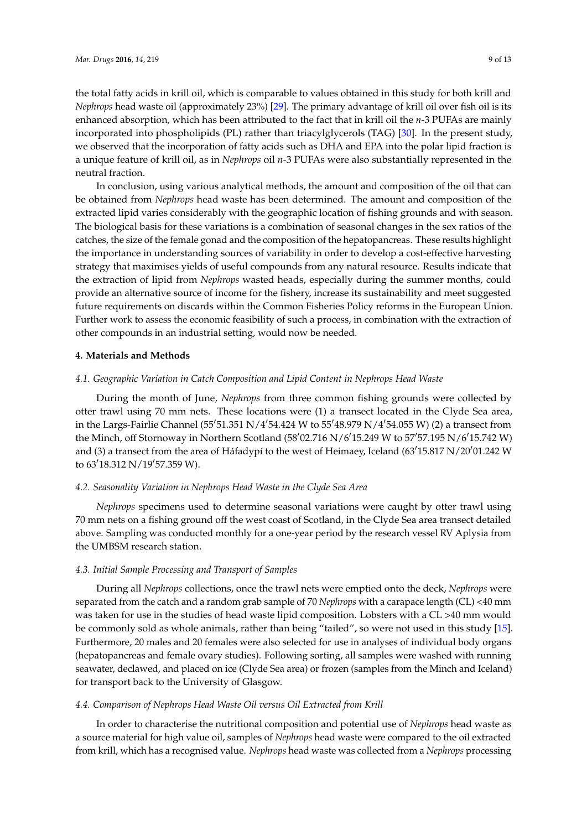the total fatty acids in krill oil, which is comparable to values obtained in this study for both krill and *Nephrops* head waste oil (approximately 23%) [\[29\]](#page-14-0). The primary advantage of krill oil over fish oil is its enhanced absorption, which has been attributed to the fact that in krill oil the *n*-3 PUFAs are mainly incorporated into phospholipids (PL) rather than triacylglycerols (TAG) [\[30\]](#page-14-1). In the present study, we observed that the incorporation of fatty acids such as DHA and EPA into the polar lipid fraction is a unique feature of krill oil, as in *Nephrops* oil *n*-3 PUFAs were also substantially represented in the neutral fraction.

In conclusion, using various analytical methods, the amount and composition of the oil that can be obtained from *Nephrops* head waste has been determined. The amount and composition of the extracted lipid varies considerably with the geographic location of fishing grounds and with season. The biological basis for these variations is a combination of seasonal changes in the sex ratios of the catches, the size of the female gonad and the composition of the hepatopancreas. These results highlight the importance in understanding sources of variability in order to develop a cost-effective harvesting strategy that maximises yields of useful compounds from any natural resource. Results indicate that the extraction of lipid from *Nephrops* wasted heads, especially during the summer months, could provide an alternative source of income for the fishery, increase its sustainability and meet suggested future requirements on discards within the Common Fisheries Policy reforms in the European Union. Further work to assess the economic feasibility of such a process, in combination with the extraction of other compounds in an industrial setting, would now be needed.

#### **4. Materials and Methods**

## <span id="page-10-0"></span>*4.1. Geographic Variation in Catch Composition and Lipid Content in Nephrops Head Waste*

During the month of June, *Nephrops* from three common fishing grounds were collected by otter trawl using 70 mm nets. These locations were (1) a transect located in the Clyde Sea area, in the Largs-Fairlie Channel (55'51.351 N/4'54.424 W to 55'48.979 N/4'54.055 W) (2) a transect from the Minch, off Stornoway in Northern Scotland (58'02.716 N/6'15.249 W to 57'57.195 N/6'15.742 W) and (3) a transect from the area of Háfadypí to the west of Heimaey, Iceland (63'15.817 N/20'01.242 W to  $63'18.312$  N/19'57.359 W).

## *4.2. Seasonality Variation in Nephrops Head Waste in the Clyde Sea Area*

*Nephrops* specimens used to determine seasonal variations were caught by otter trawl using 70 mm nets on a fishing ground off the west coast of Scotland, in the Clyde Sea area transect detailed above. Sampling was conducted monthly for a one-year period by the research vessel RV Aplysia from the UMBSM research station.

## *4.3. Initial Sample Processing and Transport of Samples*

During all *Nephrops* collections, once the trawl nets were emptied onto the deck, *Nephrops* were separated from the catch and a random grab sample of 70 *Nephrops* with a carapace length (CL) <40 mm was taken for use in the studies of head waste lipid composition. Lobsters with a CL >40 mm would be commonly sold as whole animals, rather than being "tailed", so were not used in this study [\[15\]](#page-13-7). Furthermore, 20 males and 20 females were also selected for use in analyses of individual body organs (hepatopancreas and female ovary studies). Following sorting, all samples were washed with running seawater, declawed, and placed on ice (Clyde Sea area) or frozen (samples from the Minch and Iceland) for transport back to the University of Glasgow.

## <span id="page-10-1"></span>*4.4. Comparison of Nephrops Head Waste Oil versus Oil Extracted from Krill*

In order to characterise the nutritional composition and potential use of *Nephrops* head waste as a source material for high value oil, samples of *Nephrops* head waste were compared to the oil extracted from krill, which has a recognised value. *Nephrops* head waste was collected from a *Nephrops* processing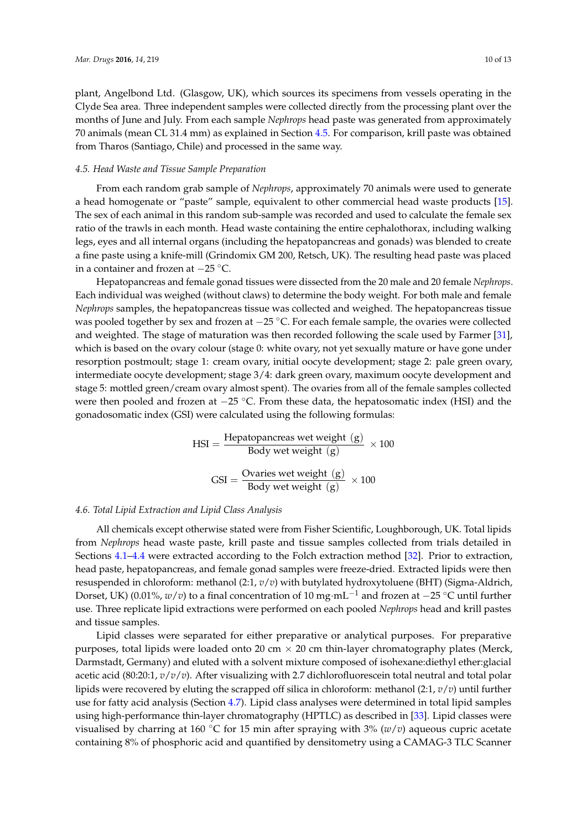plant, Angelbond Ltd. (Glasgow, UK), which sources its specimens from vessels operating in the Clyde Sea area. Three independent samples were collected directly from the processing plant over the months of June and July. From each sample *Nephrops* head paste was generated from approximately 70 animals (mean CL 31.4 mm) as explained in Section [4.5.](#page-11-0) For comparison, krill paste was obtained from Tharos (Santiago, Chile) and processed in the same way.

## <span id="page-11-0"></span>*4.5. Head Waste and Tissue Sample Preparation*

From each random grab sample of *Nephrops*, approximately 70 animals were used to generate a head homogenate or "paste" sample, equivalent to other commercial head waste products [\[15\]](#page-13-7). The sex of each animal in this random sub-sample was recorded and used to calculate the female sex ratio of the trawls in each month. Head waste containing the entire cephalothorax, including walking legs, eyes and all internal organs (including the hepatopancreas and gonads) was blended to create a fine paste using a knife-mill (Grindomix GM 200, Retsch, UK). The resulting head paste was placed in a container and frozen at −25 ◦C.

Hepatopancreas and female gonad tissues were dissected from the 20 male and 20 female *Nephrops*. Each individual was weighed (without claws) to determine the body weight. For both male and female *Nephrops* samples, the hepatopancreas tissue was collected and weighed. The hepatopancreas tissue was pooled together by sex and frozen at −25 °C. For each female sample, the ovaries were collected and weighted. The stage of maturation was then recorded following the scale used by Farmer [\[31\]](#page-14-2), which is based on the ovary colour (stage 0: white ovary, not yet sexually mature or have gone under resorption postmoult; stage 1: cream ovary, initial oocyte development; stage 2: pale green ovary, intermediate oocyte development; stage 3/4: dark green ovary, maximum oocyte development and stage 5: mottled green/cream ovary almost spent). The ovaries from all of the female samples collected were then pooled and frozen at −25 °C. From these data, the hepatosomatic index (HSI) and the gonadosomatic index (GSI) were calculated using the following formulas:

$$
HSI = \frac{\text{Hepatopanceras wet weight (g)}}{\text{Body wet weight (g)}} \times 100
$$

$$
GSI = \frac{\text{Ovaries wet weight (g)}}{\text{Body wet weight (g)}} \times 100
$$

## *4.6. Total Lipid Extraction and Lipid Class Analysis*

All chemicals except otherwise stated were from Fisher Scientific, Loughborough, UK. Total lipids from *Nephrops* head waste paste, krill paste and tissue samples collected from trials detailed in Sections [4.1](#page-10-0)[–4.4](#page-10-1) were extracted according to the Folch extraction method [\[32\]](#page-14-3). Prior to extraction, head paste, hepatopancreas, and female gonad samples were freeze-dried. Extracted lipids were then resuspended in chloroform: methanol (2:1, *v*/*v*) with butylated hydroxytoluene (BHT) (Sigma-Aldrich, Dorset, UK) (0.01%, *w*/*v*) to a final concentration of 10 mg·mL−<sup>1</sup> and frozen at −25 ◦C until further use. Three replicate lipid extractions were performed on each pooled *Nephrops* head and krill pastes and tissue samples.

Lipid classes were separated for either preparative or analytical purposes. For preparative purposes, total lipids were loaded onto 20 cm  $\times$  20 cm thin-layer chromatography plates (Merck, Darmstadt, Germany) and eluted with a solvent mixture composed of isohexane:diethyl ether:glacial acetic acid (80:20:1, *v*/*v*/*v*). After visualizing with 2.7 dichlorofluorescein total neutral and total polar lipids were recovered by eluting the scrapped off silica in chloroform: methanol (2:1, *v*/*v*) until further use for fatty acid analysis (Section [4.7\)](#page-12-6). Lipid class analyses were determined in total lipid samples using high-performance thin-layer chromatography (HPTLC) as described in [\[33\]](#page-14-4). Lipid classes were visualised by charring at 160 °C for 15 min after spraying with  $3\%$  ( $w/v$ ) aqueous cupric acetate containing 8% of phosphoric acid and quantified by densitometry using a CAMAG-3 TLC Scanner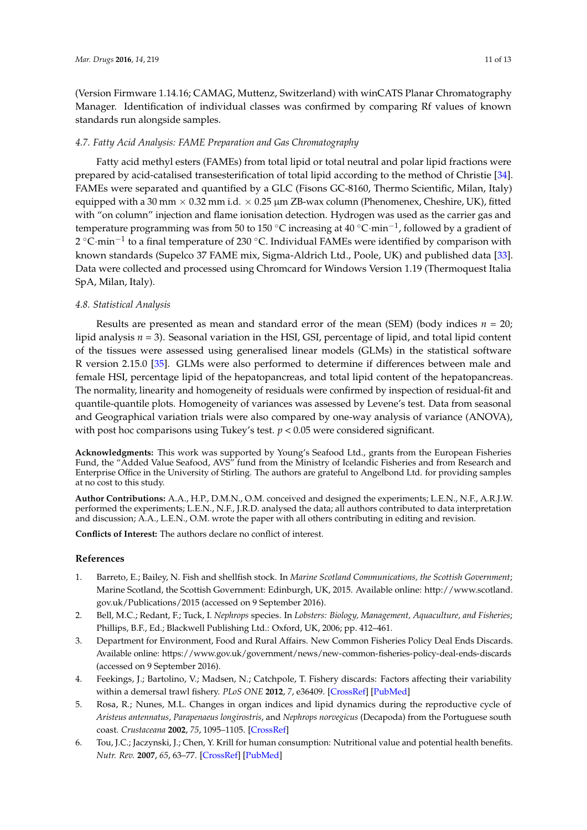(Version Firmware 1.14.16; CAMAG, Muttenz, Switzerland) with winCATS Planar Chromatography Manager. Identification of individual classes was confirmed by comparing Rf values of known standards run alongside samples.

## <span id="page-12-6"></span>*4.7. Fatty Acid Analysis: FAME Preparation and Gas Chromatography*

Fatty acid methyl esters (FAMEs) from total lipid or total neutral and polar lipid fractions were prepared by acid-catalised transesterification of total lipid according to the method of Christie [\[34\]](#page-14-5). FAMEs were separated and quantified by a GLC (Fisons GC-8160, Thermo Scientific, Milan, Italy) equipped with a 30 mm  $\times$  0.32 mm i.d.  $\times$  0.25 µm ZB-wax column (Phenomenex, Cheshire, UK), fitted with "on column" injection and flame ionisation detection. Hydrogen was used as the carrier gas and temperature programming was from 50 to 150 °C increasing at 40 °C·min<sup>-1</sup>, followed by a gradient of 2 °C·min<sup>-1</sup> to a final temperature of 230 °C. Individual FAMEs were identified by comparison with known standards (Supelco 37 FAME mix, Sigma-Aldrich Ltd., Poole, UK) and published data [\[33\]](#page-14-4). Data were collected and processed using Chromcard for Windows Version 1.19 (Thermoquest Italia SpA, Milan, Italy).

## *4.8. Statistical Analysis*

Results are presented as mean and standard error of the mean (SEM) (body indices *n* = 20; lipid analysis *n* = 3). Seasonal variation in the HSI, GSI, percentage of lipid, and total lipid content of the tissues were assessed using generalised linear models (GLMs) in the statistical software R version 2.15.0 [\[35\]](#page-14-6). GLMs were also performed to determine if differences between male and female HSI, percentage lipid of the hepatopancreas, and total lipid content of the hepatopancreas. The normality, linearity and homogeneity of residuals were confirmed by inspection of residual-fit and quantile-quantile plots. Homogeneity of variances was assessed by Levene's test. Data from seasonal and Geographical variation trials were also compared by one-way analysis of variance (ANOVA), with post hoc comparisons using Tukey's test.  $p < 0.05$  were considered significant.

**Acknowledgments:** This work was supported by Young's Seafood Ltd., grants from the European Fisheries Fund, the "Added Value Seafood, AVS" fund from the Ministry of Icelandic Fisheries and from Research and Enterprise Office in the University of Stirling. The authors are grateful to Angelbond Ltd. for providing samples at no cost to this study.

**Author Contributions:** A.A., H.P., D.M.N., O.M. conceived and designed the experiments; L.E.N., N.F., A.R.J.W. performed the experiments; L.E.N., N.F., J.R.D. analysed the data; all authors contributed to data interpretation and discussion; A.A., L.E.N., O.M. wrote the paper with all others contributing in editing and revision.

**Conflicts of Interest:** The authors declare no conflict of interest.

## **References**

- <span id="page-12-0"></span>1. Barreto, E.; Bailey, N. Fish and shellfish stock. In *Marine Scotland Communications, the Scottish Government*; Marine Scotland, the Scottish Government: Edinburgh, UK, 2015. Available online: [http://www.scotland.](http://www.scotland.gov.uk/Publications/2015) [gov.uk/Publications/2015](http://www.scotland.gov.uk/Publications/2015) (accessed on 9 September 2016).
- <span id="page-12-1"></span>2. Bell, M.C.; Redant, F.; Tuck, I. *Nephrops* species. In *Lobsters: Biology, Management, Aquaculture, and Fisheries*; Phillips, B.F., Ed.; Blackwell Publishing Ltd.: Oxford, UK, 2006; pp. 412–461.
- <span id="page-12-2"></span>3. Department for Environment, Food and Rural Affairs. New Common Fisheries Policy Deal Ends Discards. Available online: <https://www.gov.uk/government/news/new-common-fisheries-policy-deal-ends-discards> (accessed on 9 September 2016).
- <span id="page-12-3"></span>4. Feekings, J.; Bartolino, V.; Madsen, N.; Catchpole, T. Fishery discards: Factors affecting their variability within a demersal trawl fishery. *PLoS ONE* **2012**, *7*, e36409. [\[CrossRef\]](http://dx.doi.org/10.1371/journal.pone.0036409) [\[PubMed\]](http://www.ncbi.nlm.nih.gov/pubmed/22558463)
- <span id="page-12-4"></span>5. Rosa, R.; Nunes, M.L. Changes in organ indices and lipid dynamics during the reproductive cycle of *Aristeus antennatus*, *Parapenaeus longirostris*, and *Nephrops norvegicus* (Decapoda) from the Portuguese south coast. *Crustaceana* **2002**, *75*, 1095–1105. [\[CrossRef\]](http://dx.doi.org/10.1163/156854002763270491)
- <span id="page-12-5"></span>6. Tou, J.C.; Jaczynski, J.; Chen, Y. Krill for human consumption: Nutritional value and potential health benefits. *Nutr. Rev.* **2007**, *65*, 63–77. [\[CrossRef\]](http://dx.doi.org/10.1111/j.1753-4887.2007.tb00283.x) [\[PubMed\]](http://www.ncbi.nlm.nih.gov/pubmed/17345959)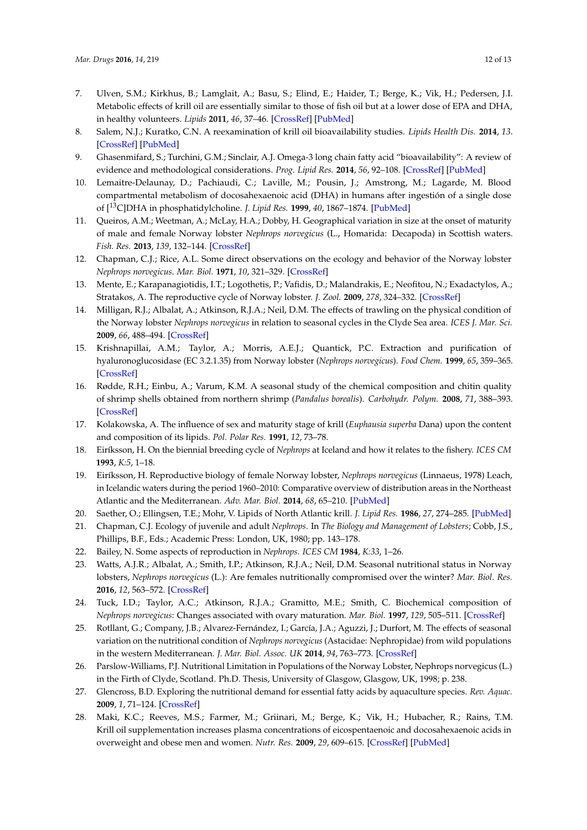- <span id="page-13-0"></span>7. Ulven, S.M.; Kirkhus, B.; Lamglait, A.; Basu, S.; Elind, E.; Haider, T.; Berge, K.; Vik, H.; Pedersen, J.I. Metabolic effects of krill oil are essentially similar to those of fish oil but at a lower dose of EPA and DHA, in healthy volunteers. *Lipids* **2011**, *46*, 37–46. [\[CrossRef\]](http://dx.doi.org/10.1007/s11745-010-3490-4) [\[PubMed\]](http://www.ncbi.nlm.nih.gov/pubmed/21042875)
- <span id="page-13-1"></span>8. Salem, N.J.; Kuratko, C.N. A reexamination of krill oil bioavailability studies. *Lipids Health Dis.* **2014**, *13*. [\[CrossRef\]](http://dx.doi.org/10.1186/1476-511X-13-137) [\[PubMed\]](http://www.ncbi.nlm.nih.gov/pubmed/25156381)
- <span id="page-13-2"></span>9. Ghasenmifard, S.; Turchini, G.M.; Sinclair, A.J. Omega-3 long chain fatty acid "bioavailability": A review of evidence and methodological considerations. *Prog. Lipid Res.* **2014**, *56*, 92–108. [\[CrossRef\]](http://dx.doi.org/10.1016/j.plipres.2014.09.001) [\[PubMed\]](http://www.ncbi.nlm.nih.gov/pubmed/25218856)
- <span id="page-13-3"></span>10. Lemaitre-Delaunay, D.; Pachiaudi, C.; Laville, M.; Pousin, J.; Amstrong, M.; Lagarde, M. Blood compartmental metabolism of docosahexaenoic acid (DHA) in humans after ingestión of a single dose of [13C]DHA in phosphatidylcholine. *J. Lipid Res.* **1999**, *40*, 1867–1874. [\[PubMed\]](http://www.ncbi.nlm.nih.gov/pubmed/10508206)
- <span id="page-13-4"></span>11. Queiros, A.M.; Weetman, A.; McLay, H.A.; Dobby, H. Geographical variation in size at the onset of maturity of male and female Norway lobster *Nephrops norvegicus* (L., Homarida: Decapoda) in Scottish waters. *Fish. Res.* **2013**, *139*, 132–144. [\[CrossRef\]](http://dx.doi.org/10.1016/j.fishres.2012.11.002)
- <span id="page-13-5"></span>12. Chapman, C.J.; Rice, A.L. Some direct observations on the ecology and behavior of the Norway lobster *Nephrops norvegicus*. *Mar. Biol.* **1971**, *10*, 321–329. [\[CrossRef\]](http://dx.doi.org/10.1007/BF00368092)
- 13. Mente, E.; Karapanagiotidis, I.T.; Logothetis, P.; Vafidis, D.; Malandrakis, E.; Neofitou, N.; Exadactylos, A.; Stratakos, A. The reproductive cycle of Norway lobster. *J. Zool.* **2009**, *278*, 324–332. [\[CrossRef\]](http://dx.doi.org/10.1111/j.1469-7998.2009.00579.x)
- <span id="page-13-6"></span>14. Milligan, R.J.; Albalat, A.; Atkinson, R.J.A.; Neil, D.M. The effects of trawling on the physical condition of the Norway lobster *Nephrops norvegicus* in relation to seasonal cycles in the Clyde Sea area. *ICES J. Mar. Sci.* **2009**, *66*, 488–494. [\[CrossRef\]](http://dx.doi.org/10.1093/icesjms/fsp018)
- <span id="page-13-7"></span>15. Krishnapillai, A.M.; Taylor, A.; Morris, A.E.J.; Quantick, P.C. Extraction and purification of hyaluronoglucosidase (EC 3.2.1.35) from Norway lobster (*Nephrops norvegicus*). *Food Chem.* **1999**, *65*, 359–365. [\[CrossRef\]](http://dx.doi.org/10.1016/S0308-8146(98)00233-7)
- <span id="page-13-8"></span>16. Rødde, R.H.; Einbu, A.; Varum, K.M. A seasonal study of the chemical composition and chitin quality of shrimp shells obtained from northern shrimp (*Pandalus borealis*). *Carbohydr. Polym.* **2008**, *71*, 388–393. [\[CrossRef\]](http://dx.doi.org/10.1016/j.carbpol.2007.06.006)
- <span id="page-13-9"></span>17. Kolakowska, A. The influence of sex and maturity stage of krill (*Euphausia superba* Dana) upon the content and composition of its lipids. *Pol. Polar Res.* **1991**, *12*, 73–78.
- <span id="page-13-10"></span>18. Eiríksson, H. On the biennial breeding cycle of *Nephrops* at Iceland and how it relates to the fishery. *ICES CM* **1993**, *K:5*, 1–18.
- <span id="page-13-11"></span>19. Eiríksson, H. Reproductive biology of female Norway lobster, *Nephrops norvegicus* (Linnaeus, 1978) Leach, in Icelandic waters during the period 1960–2010: Comparative overview of distribution areas in the Northeast Atlantic and the Mediterranean. *Adv. Mar. Biol.* **2014**, *68*, 65–210. [\[PubMed\]](http://www.ncbi.nlm.nih.gov/pubmed/24981733)
- <span id="page-13-12"></span>20. Saether, O.; Ellingsen, T.E.; Mohr, V. Lipids of North Atlantic krill. *J. Lipid Res.* **1986**, *27*, 274–285. [\[PubMed\]](http://www.ncbi.nlm.nih.gov/pubmed/3734626)
- <span id="page-13-13"></span>21. Chapman, C.J. Ecology of juvenile and adult *Nephrops*. In *The Biology and Management of Lobsters*; Cobb, J.S., Phillips, B.F., Eds.; Academic Press: London, UK, 1980; pp. 143–178.
- <span id="page-13-14"></span>22. Bailey, N. Some aspects of reproduction in *Nephrops*. *ICES CM* **1984**, *K:33*, 1–26.
- <span id="page-13-15"></span>23. Watts, A.J.R.; Albalat, A.; Smith, I.P.; Atkinson, R.J.A.; Neil, D.M. Seasonal nutritional status in Norway lobsters, *Nephrops norvegicus* (L.): Are females nutritionally compromised over the winter? *Mar. Biol. Res.* **2016**, *12*, 563–572. [\[CrossRef\]](http://dx.doi.org/10.1080/17451000.2016.1174337)
- <span id="page-13-16"></span>24. Tuck, I.D.; Taylor, A.C.; Atkinson, R.J.A.; Gramitto, M.E.; Smith, C. Biochemical composition of *Nephrops norvegicus*: Changes associated with ovary maturation. *Mar. Biol.* **1997**, *129*, 505–511. [\[CrossRef\]](http://dx.doi.org/10.1007/s002270050191)
- <span id="page-13-17"></span>25. Rotllant, G.; Company, J.B.; Alvarez-Fernández, I.; García, J.A.; Aguzzi, J.; Durfort, M. The effects of seasonal variation on the nutritional condition of *Nephrops norvegicus* (Astacidae: Nephropidae) from wild populations in the western Mediterranean. *J. Mar. Biol. Assoc. UK* **2014**, *94*, 763–773. [\[CrossRef\]](http://dx.doi.org/10.1017/S0025315414000022)
- <span id="page-13-18"></span>26. Parslow-Williams, P.J. Nutritional Limitation in Populations of the Norway Lobster, Nephrops norvegicus (L.) in the Firth of Clyde, Scotland. Ph.D. Thesis, University of Glasgow, Glasgow, UK, 1998; p. 238.
- <span id="page-13-19"></span>27. Glencross, B.D. Exploring the nutritional demand for essential fatty acids by aquaculture species. *Rev. Aquac.* **2009**, *1*, 71–124. [\[CrossRef\]](http://dx.doi.org/10.1111/j.1753-5131.2009.01006.x)
- <span id="page-13-20"></span>28. Maki, K.C.; Reeves, M.S.; Farmer, M.; Griinari, M.; Berge, K.; Vik, H.; Hubacher, R.; Rains, T.M. Krill oil supplementation increases plasma concentrations of eicospentaenoic and docosahexaenoic acids in overweight and obese men and women. *Nutr. Res.* **2009**, *29*, 609–615. [\[CrossRef\]](http://dx.doi.org/10.1016/j.nutres.2009.09.004) [\[PubMed\]](http://www.ncbi.nlm.nih.gov/pubmed/19854375)